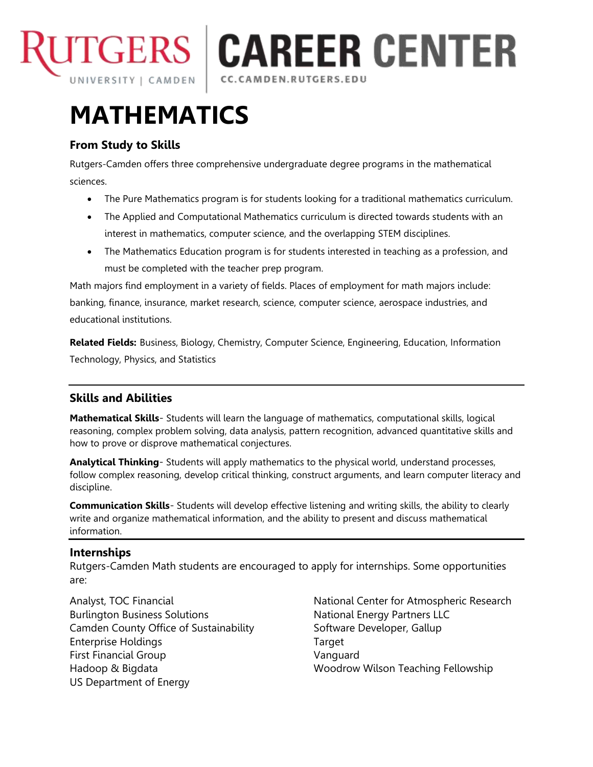

**TGERS | CAREER CENTER** CC.CAMDEN.RUTGERS.EDU

# **MATHEMATICS**

## **From Study to Skills**

Rutgers-Camden offers three comprehensive undergraduate degree programs in the mathematical sciences.

- The Pure Mathematics program is for students looking for a traditional mathematics curriculum.
- The Applied and Computational Mathematics curriculum is directed towards students with an interest in mathematics, computer science, and the overlapping STEM disciplines.
- The Mathematics Education program is for students interested in teaching as a profession, and must be completed with the teacher prep program.

Math majors find employment in a variety of fields. Places of employment for math majors include: banking, finance, insurance, market research, science, computer science, aerospace industries, and educational institutions.

**Related Fields:** Business, Biology, Chemistry, Computer Science, Engineering, Education, Information Technology, Physics, and Statistics

## **Skills and Abilities**

**Mathematical Skills**- Students will learn the language of mathematics, computational skills, logical reasoning, complex problem solving, data analysis, pattern recognition, advanced quantitative skills and how to prove or disprove mathematical conjectures.

**Analytical Thinking**- Students will apply mathematics to the physical world, understand processes, follow complex reasoning, develop critical thinking, construct arguments, and learn computer literacy and discipline.

**Communication Skills**- Students will develop effective listening and writing skills, the ability to clearly write and organize mathematical information, and the ability to present and discuss mathematical information.

### **Internships**

Rutgers-Camden Math students are encouraged to apply for internships. Some opportunities are:

Analyst, TOC Financial Burlington Business Solutions Camden County Office of Sustainability Enterprise Holdings First Financial Group Hadoop & Bigdata US Department of Energy

National Center for Atmospheric Research National Energy Partners LLC Software Developer, Gallup Target Vanguard Woodrow Wilson Teaching Fellowship